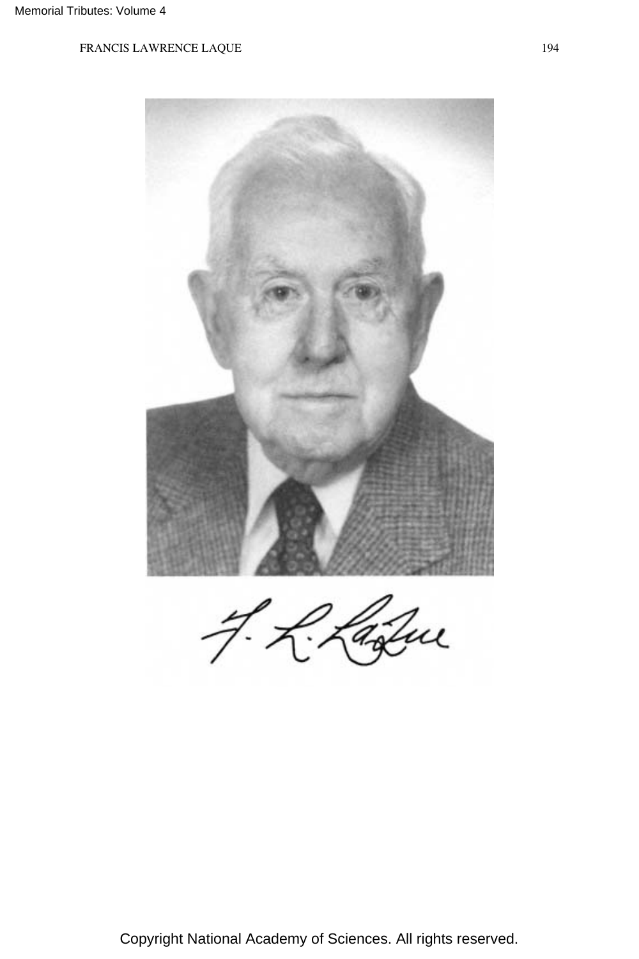

J. L. Laque

Copyright National Academy of Sciences. All rights reserved.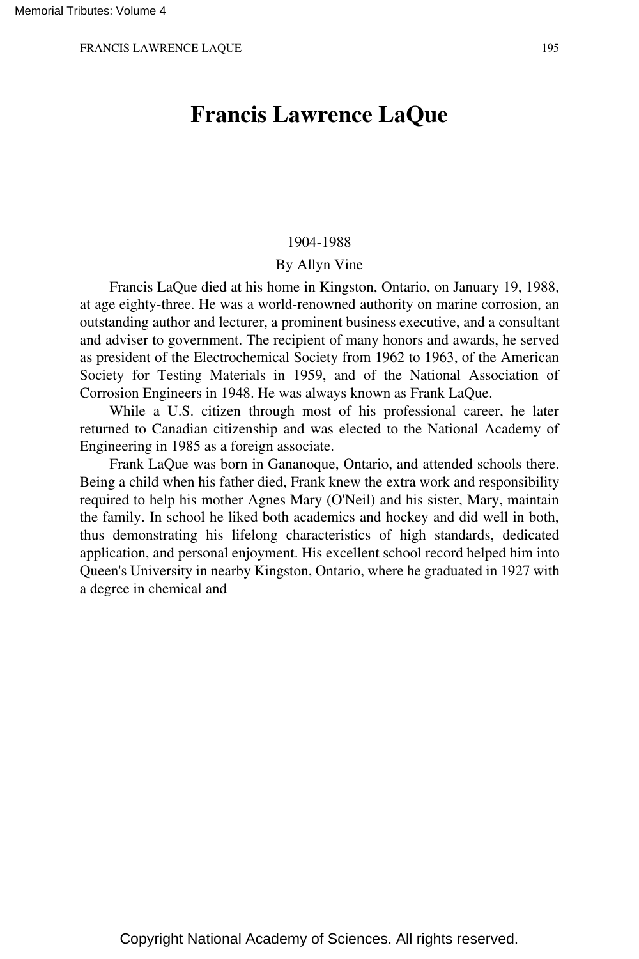# **Francis Lawrence LaQue**

#### 1904-1988

## By Allyn Vine

Francis LaQue died at his home in Kingston, Ontario, on January 19, 1988, at age eighty-three. He was a world-renowned authority on marine corrosion, an outstanding author and lecturer, a prominent business executive, and a consultant and adviser to government. The recipient of many honors and awards, he served as president of the Electrochemical Society from 1962 to 1963, of the American Society for Testing Materials in 1959, and of the National Association of Corrosion Engineers in 1948. He was always known as Frank LaQue.

While a U.S. citizen through most of his professional career, he later returned to Canadian citizenship and was elected to the National Academy of Engineering in 1985 as a foreign associate.

Frank LaQue was born in Gananoque, Ontario, and attended schools there. Being a child when his father died, Frank knew the extra work and responsibility required to help his mother Agnes Mary (O'Neil) and his sister, Mary, maintain the family. In school he liked both academics and hockey and did well in both, thus demonstrating his lifelong characteristics of high standards, dedicated application, and personal enjoyment. His excellent school record helped him into Queen's University in nearby Kingston, Ontario, where he graduated in 1927 with a degree in chemical and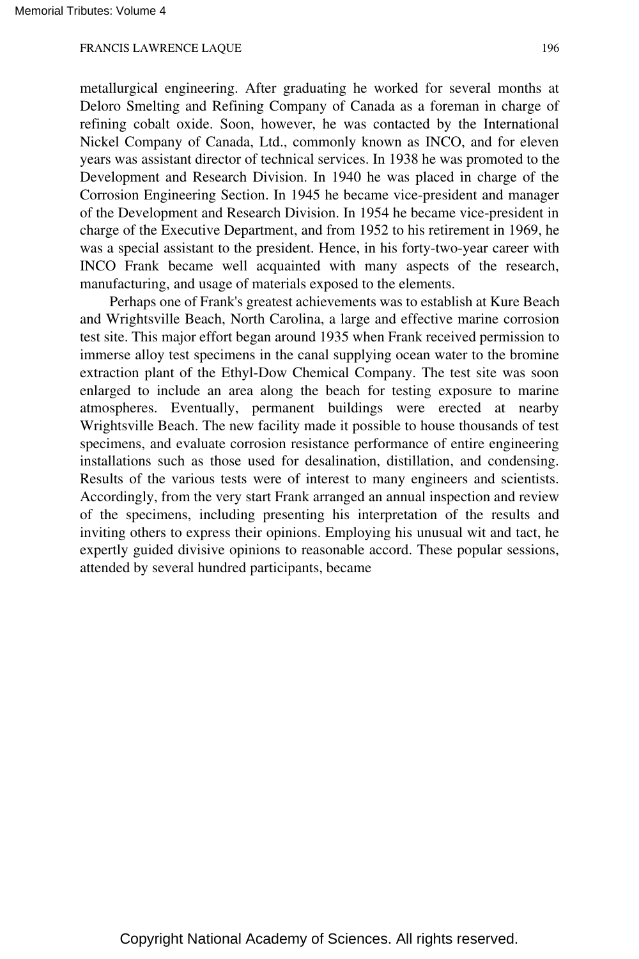metallurgical engineering. After graduating he worked for several months at Deloro Smelting and Refining Company of Canada as a foreman in charge of refining cobalt oxide. Soon, however, he was contacted by the International Nickel Company of Canada, Ltd., commonly known as INCO, and for eleven years was assistant director of technical services. In 1938 he was promoted to the Development and Research Division. In 1940 he was placed in charge of the Corrosion Engineering Section. In 1945 he became vice-president and manager of the Development and Research Division. In 1954 he became vice-president in charge of the Executive Department, and from 1952 to his retirement in 1969, he was a special assistant to the president. Hence, in his forty-two-year career with INCO Frank became well acquainted with many aspects of the research, manufacturing, and usage of materials exposed to the elements.

Perhaps one of Frank's greatest achievements was to establish at Kure Beach and Wrightsville Beach, North Carolina, a large and effective marine corrosion test site. This major effort began around 1935 when Frank received permission to immerse alloy test specimens in the canal supplying ocean water to the bromine extraction plant of the Ethyl-Dow Chemical Company. The test site was soon enlarged to include an area along the beach for testing exposure to marine atmospheres. Eventually, permanent buildings were erected at nearby Wrightsville Beach. The new facility made it possible to house thousands of test specimens, and evaluate corrosion resistance performance of entire engineering installations such as those used for desalination, distillation, and condensing. Results of the various tests were of interest to many engineers and scientists. Accordingly, from the very start Frank arranged an annual inspection and review of the specimens, including presenting his interpretation of the results and inviting others to express their opinions. Employing his unusual wit and tact, he expertly guided divisive opinions to reasonable accord. These popular sessions, attended by several hundred participants, became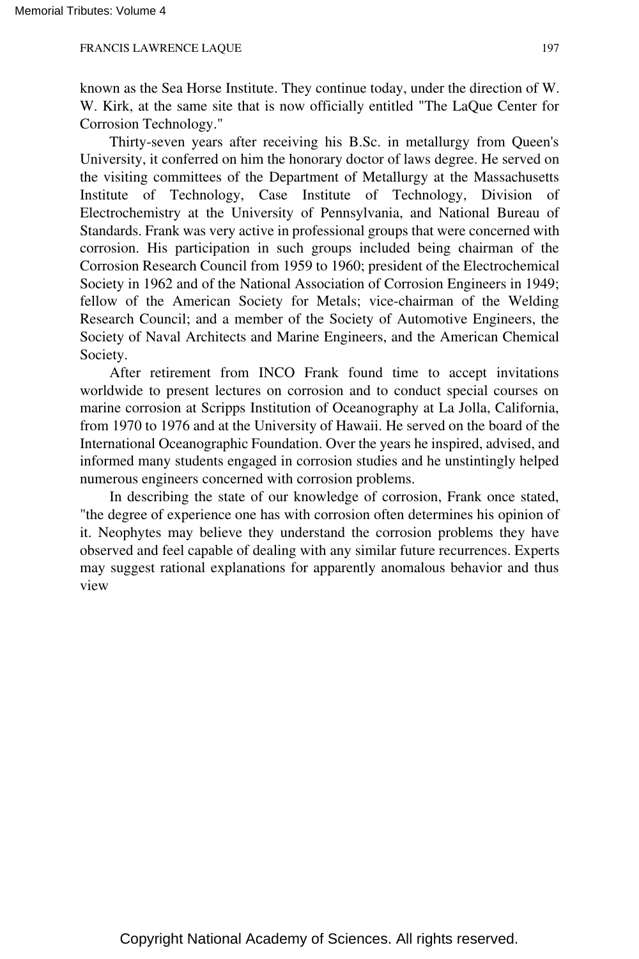known as the Sea Horse Institute. They continue today, under the direction of W. W. Kirk, at the same site that is now officially entitled "The LaQue Center for Corrosion Technology."

Thirty-seven years after receiving his B.Sc. in metallurgy from Queen's University, it conferred on him the honorary doctor of laws degree. He served on the visiting committees of the Department of Metallurgy at the Massachusetts Institute of Technology, Case Institute of Technology, Division of Electrochemistry at the University of Pennsylvania, and National Bureau of Standards. Frank was very active in professional groups that were concerned with corrosion. His participation in such groups included being chairman of the Corrosion Research Council from 1959 to 1960; president of the Electrochemical Society in 1962 and of the National Association of Corrosion Engineers in 1949; fellow of the American Society for Metals; vice-chairman of the Welding Research Council; and a member of the Society of Automotive Engineers, the Society of Naval Architects and Marine Engineers, and the American Chemical Society.

After retirement from INCO Frank found time to accept invitations worldwide to present lectures on corrosion and to conduct special courses on marine corrosion at Scripps Institution of Oceanography at La Jolla, California, from 1970 to 1976 and at the University of Hawaii. He served on the board of the International Oceanographic Foundation. Over the years he inspired, advised, and informed many students engaged in corrosion studies and he unstintingly helped numerous engineers concerned with corrosion problems.

In describing the state of our knowledge of corrosion, Frank once stated, "the degree of experience one has with corrosion often determines his opinion of it. Neophytes may believe they understand the corrosion problems they have observed and feel capable of dealing with any similar future recurrences. Experts may suggest rational explanations for apparently anomalous behavior and thus view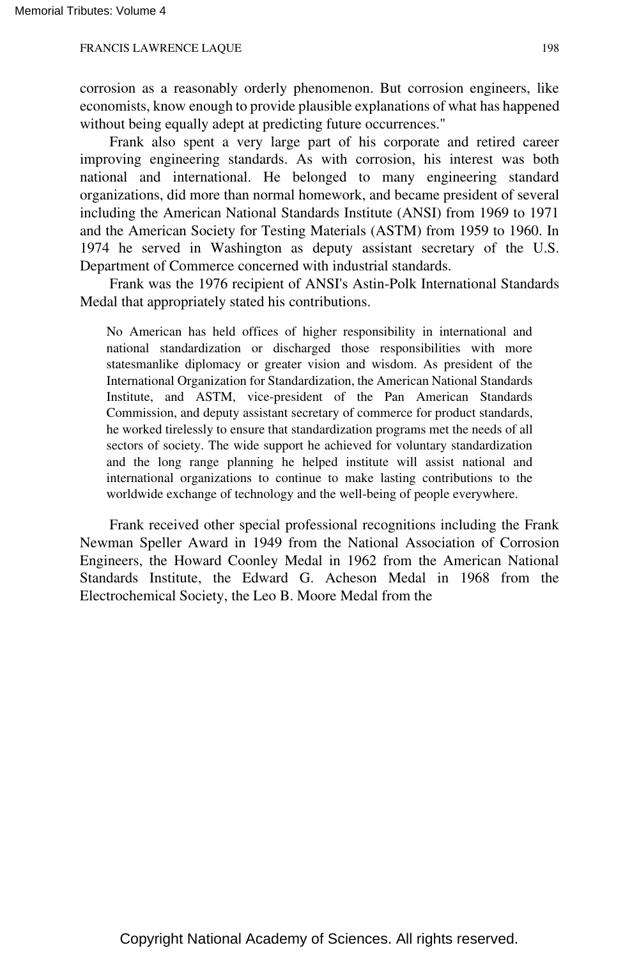corrosion as a reasonably orderly phenomenon. But corrosion engineers, like economists, know enough to provide plausible explanations of what has happened without being equally adept at predicting future occurrences."

Frank also spent a very large part of his corporate and retired career improving engineering standards. As with corrosion, his interest was both national and international. He belonged to many engineering standard organizations, did more than normal homework, and became president of several including the American National Standards Institute (ANSI) from 1969 to 1971 and the American Society for Testing Materials (ASTM) from 1959 to 1960. In 1974 he served in Washington as deputy assistant secretary of the U.S. Department of Commerce concerned with industrial standards.

Frank was the 1976 recipient of ANSI's Astin-Polk International Standards Medal that appropriately stated his contributions.

No American has held offices of higher responsibility in international and national standardization or discharged those responsibilities with more statesmanlike diplomacy or greater vision and wisdom. As president of the International Organization for Standardization, the American National Standards Institute, and ASTM, vice-president of the Pan American Standards Commission, and deputy assistant secretary of commerce for product standards, he worked tirelessly to ensure that standardization programs met the needs of all sectors of society. The wide support he achieved for voluntary standardization and the long range planning he helped institute will assist national and international organizations to continue to make lasting contributions to the worldwide exchange of technology and the well-being of people everywhere.

Frank received other special professional recognitions including the Frank Newman Speller Award in 1949 from the National Association of Corrosion Engineers, the Howard Coonley Medal in 1962 from the American National Standards Institute, the Edward G. Acheson Medal in 1968 from the Electrochemical Society, the Leo B. Moore Medal from the